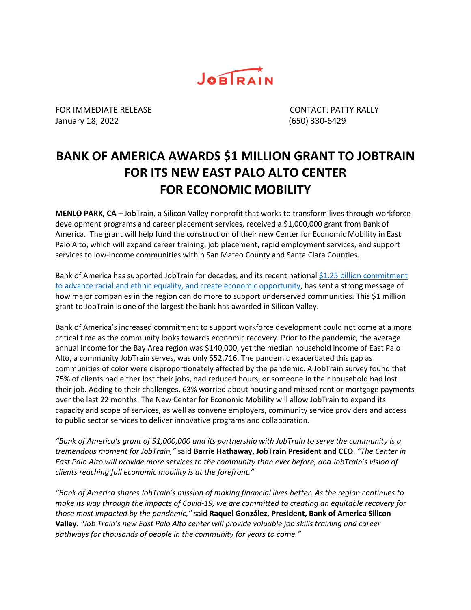

FOR IMMEDIATE RELEASE CONTACT: PATTY RALLY January 18, 2022 (650) 330-6429

## **BANK OF AMERICA AWARDS \$1 MILLION GRANT TO JOBTRAIN FOR ITS NEW EAST PALO ALTO CENTER FOR ECONOMIC MOBILITY**

**MENLO PARK, CA** – JobTrain, a Silicon Valley nonprofit that works to transform lives through workforce development programs and career placement services, received a \$1,000,000 grant from Bank of America. The grant will help fund the construction of their new Center for Economic Mobility in East Palo Alto, which will expand career training, job placement, rapid employment services, and support services to low-income communities within San Mateo County and Santa Clara Counties.

Bank of America has supported JobTrain for decades, and its recent national  $$1.25$  billion commitment [to advance racial and ethnic equality, and create economic opportunity,](https://newsroom.bankofamerica.com/content/newsroom/press-releases/2021/03/bank-of-america-increases-commitment-to-advance-racial-equality-.html) has sent a strong message of how major companies in the region can do more to support underserved communities. This \$1 million grant to JobTrain is one of the largest the bank has awarded in Silicon Valley.

Bank of America's increased commitment to support workforce development could not come at a more critical time as the community looks towards economic recovery. Prior to the pandemic, the average annual income for the Bay Area region was \$140,000, yet the median household income of East Palo Alto, a community JobTrain serves, was only \$52,716. The pandemic exacerbated this gap as communities of color were disproportionately affected by the pandemic. A JobTrain survey found that 75% of clients had either lost their jobs, had reduced hours, or someone in their household had lost their job. Adding to their challenges, 63% worried about housing and missed rent or mortgage payments over the last 22 months. The New Center for Economic Mobility will allow JobTrain to expand its capacity and scope of services, as well as convene employers, community service providers and access to public sector services to deliver innovative programs and collaboration.

*"Bank of America's grant of \$1,000,000 and its partnership with JobTrain to serve the community is a tremendous moment for JobTrain,"* said **Barrie Hathaway, JobTrain President and CEO**. *"The Center in East Palo Alto will provide more services to the community than ever before, and JobTrain's vision of clients reaching full economic mobility is at the forefront."*

*"Bank of America shares JobTrain's mission of making financial lives better. As the region continues to make its way through the impacts of Covid-19, we are committed to creating an equitable recovery for those most impacted by the pandemic,"* said **Raquel González, President, Bank of America Silicon Valley**. *"Job Train's new East Palo Alto center will provide valuable job skills training and career pathways for thousands of people in the community for years to come."*